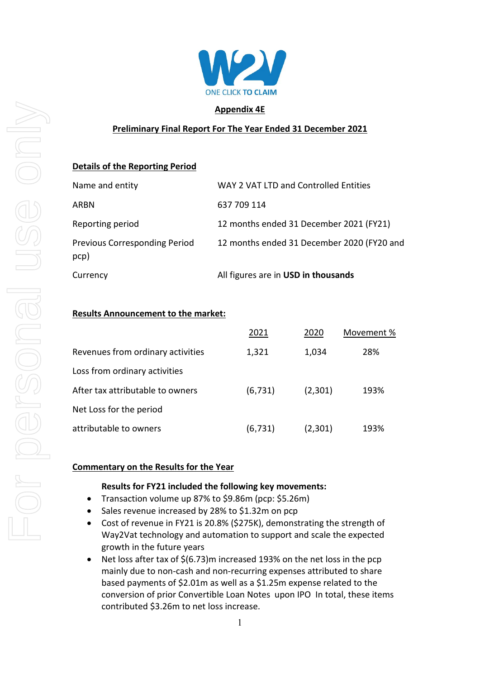

## **Appendix 4E**

# **Preliminary Final Report For The Year Ended 31 December 2021**

# **Details of the Reporting Period**

| Currency                                     | All figures are in USD in thousands        |
|----------------------------------------------|--------------------------------------------|
| <b>Previous Corresponding Period</b><br>pcp) | 12 months ended 31 December 2020 (FY20 and |
| Reporting period                             | 12 months ended 31 December 2021 (FY21)    |
| ARBN                                         | 637 709 114                                |
| Name and entity                              | WAY 2 VAT LTD and Controlled Entities      |

## **Results Announcement to the market:**

|                                   | 2021     | 2020    | Movement % |
|-----------------------------------|----------|---------|------------|
| Revenues from ordinary activities | 1,321    | 1,034   | 28%        |
| Loss from ordinary activities     |          |         |            |
| After tax attributable to owners  | (6, 731) | (2,301) | 193%       |
| Net Loss for the period           |          |         |            |
| attributable to owners            | (6, 731) | (2,301) | 193%       |

# **Commentary on the Results for the Year**

## **Results for FY21 included the following key movements:**

- Transaction volume up 87% to \$9.86m (pcp: \$5.26m)
- Sales revenue increased by 28% to \$1.32m on pcp
- Cost of revenue in FY21 is 20.8% (\$275K), demonstrating the strength of Way2Vat technology and automation to support and scale the expected growth in the future years
- Net loss after tax of \$(6.73)m increased 193% on the net loss in the pcp mainly due to non-cash and non-recurring expenses attributed to share based payments of \$2.01m as well as a \$1.25m expense related to the conversion of prior Convertible Loan Notes upon IPO In total, these items contributed \$3.26m to net loss increase.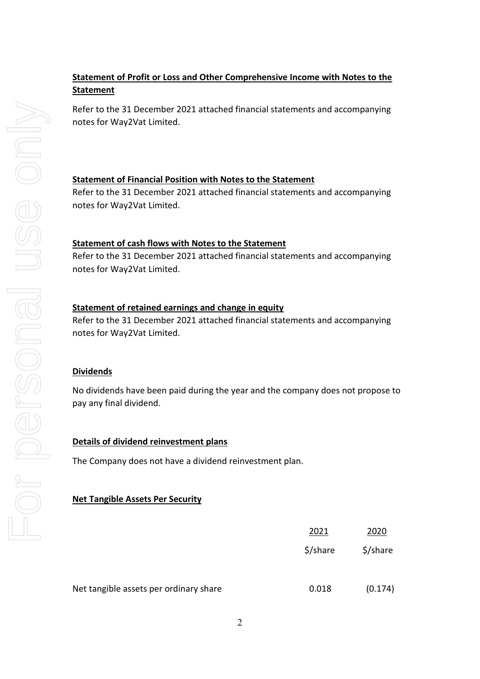# **Statement of Profit or Loss and Other Comprehensive Income with Notes to the Statement**

Refer to the 31 December 2021 attached financial statements and accompanying notes for Way2Vat Limited.

# **Statement of Financial Position with Notes to the Statement**

Refer to the 31 December 2021 attached financial statements and accompanying notes for Way2Vat Limited.

## **Statement of cash flows with Notes to the Statement**

Refer to the 31 December 2021 attached financial statements and accompanying notes for Way2Vat Limited.

## **Statement of retained earnings and change in equity**

Refer to the 31 December 2021 attached financial statements and accompanying notes for Way2Vat Limited.

## **Dividends**

No dividends have been paid during the year and the company does not propose to pay any final dividend.

## **Details of dividend reinvestment plans**

The Company does not have a dividend reinvestment plan.

## **Net Tangible Assets Per Security**

Net tangible assets per ordinary share

| 2021     | 2020     |
|----------|----------|
| \$/share | \$/share |
|          |          |
| 0.018    | (0.174)  |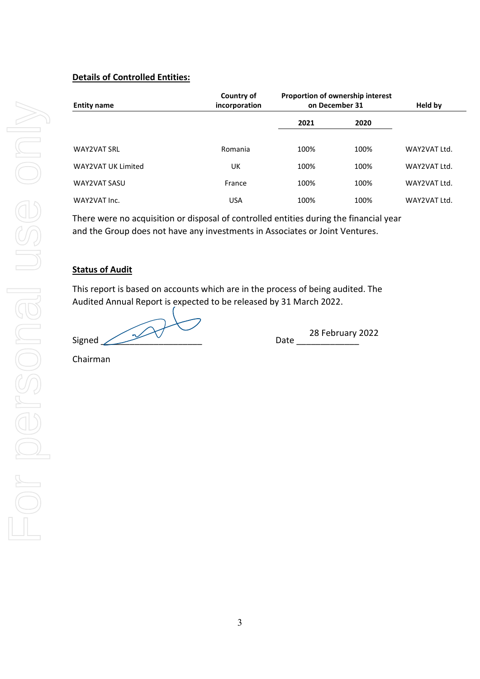# **Details of Controlled Entities:**

| <b>Entity name</b>  | Country of<br>incorporation | Proportion of ownership interest<br>on December 31 |      | Held by      |
|---------------------|-----------------------------|----------------------------------------------------|------|--------------|
|                     |                             | 2021                                               | 2020 |              |
| <b>WAY2VAT SRL</b>  | Romania                     | 100%                                               | 100% | WAY2VAT Ltd. |
| WAY2VAT UK Limited  | UK                          | 100%                                               | 100% | WAY2VAT Ltd. |
| <b>WAY2VAT SASU</b> | France                      | 100%                                               | 100% | WAY2VAT Ltd. |
| WAY2VAT Inc.        | <b>USA</b>                  | 100%                                               | 100% | WAY2VAT Ltd. |

There were no acquisition or disposal of controlled entities during the financial year and the Group does not have any investments in Associates or Joint Ventures.

# **Status of Audit**

This report is based on accounts which are in the process of being audited. The Audited Annual Report is expected to be released by 31 March 2022.

Signed  $\bigvee$   $\bigvee$   $\bigvee$  Date

28 February 2022

Chairman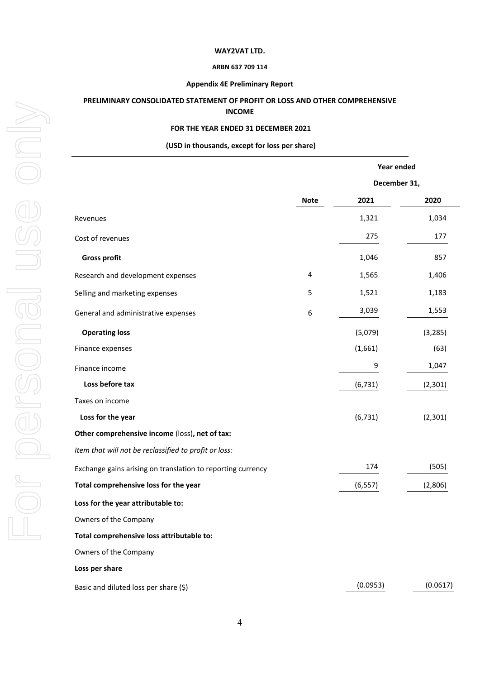#### **ARBN 637 709 114**

## **Appendix 4E Preliminary Report**

## **PRELIMINARY CONSOLIDATED STATEMENT OF PROFIT OR LOSS AND OTHER COMPREHENSIVE INCOME**

### **FOR THE YEAR ENDED 31 DECEMBER 2021**

#### **(USD in thousands, except for loss per share)**

|                                                             |             | Year ended   |          |  |
|-------------------------------------------------------------|-------------|--------------|----------|--|
|                                                             |             | December 31, |          |  |
|                                                             | <b>Note</b> | 2021         | 2020     |  |
| Revenues                                                    |             | 1,321        | 1,034    |  |
| Cost of revenues                                            |             | 275          | 177      |  |
| <b>Gross profit</b>                                         |             | 1,046        | 857      |  |
| Research and development expenses                           | 4           | 1,565        | 1,406    |  |
| Selling and marketing expenses                              | 5           | 1,521        | 1,183    |  |
| General and administrative expenses                         | 6           | 3,039        | 1,553    |  |
| <b>Operating loss</b>                                       |             | (5,079)      | (3, 285) |  |
| Finance expenses                                            |             | (1,661)      | (63)     |  |
| Finance income                                              |             | 9            | 1,047    |  |
| Loss before tax                                             |             | (6, 731)     | (2,301)  |  |
| Taxes on income                                             |             |              |          |  |
| Loss for the year                                           |             | (6, 731)     | (2, 301) |  |
| Other comprehensive income (loss), net of tax:              |             |              |          |  |
| Item that will not be reclassified to profit or loss:       |             |              |          |  |
| Exchange gains arising on translation to reporting currency |             | 174          | (505)    |  |
| Total comprehensive loss for the year                       |             | (6, 557)     | (2,806)  |  |
| Loss for the year attributable to:                          |             |              |          |  |
| Owners of the Company                                       |             |              |          |  |
| Total comprehensive loss attributable to:                   |             |              |          |  |
| Owners of the Company                                       |             |              |          |  |
| Loss per share                                              |             |              |          |  |
| Basic and diluted loss per share (\$)                       |             | (0.0953)     | (0.0617) |  |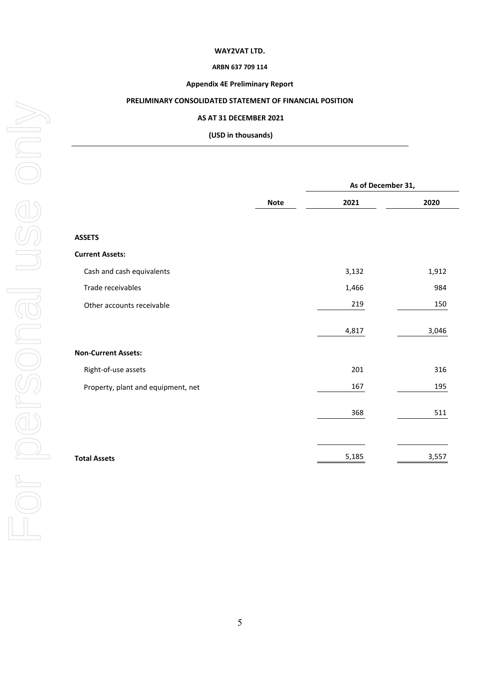## **ARBN 637 709 114**

## **Appendix 4E Preliminary Report**

## **PRELIMINARY CONSOLIDATED STATEMENT OF FINANCIAL POSITION**

#### **AS AT 31 DECEMBER 2021**

**(USD in thousands)**

|                                    |             | As of December 31, |       |  |
|------------------------------------|-------------|--------------------|-------|--|
|                                    | <b>Note</b> | 2021               | 2020  |  |
| <b>ASSETS</b>                      |             |                    |       |  |
| <b>Current Assets:</b>             |             |                    |       |  |
| Cash and cash equivalents          |             | 3,132              | 1,912 |  |
| Trade receivables                  |             | 1,466              | 984   |  |
| Other accounts receivable          |             | 219                | 150   |  |
|                                    |             | 4,817              | 3,046 |  |
| <b>Non-Current Assets:</b>         |             |                    |       |  |
| Right-of-use assets                |             | 201                | 316   |  |
| Property, plant and equipment, net |             | 167                | 195   |  |
|                                    |             | 368                | 511   |  |
|                                    |             |                    |       |  |
| <b>Total Assets</b>                |             | 5,185              | 3,557 |  |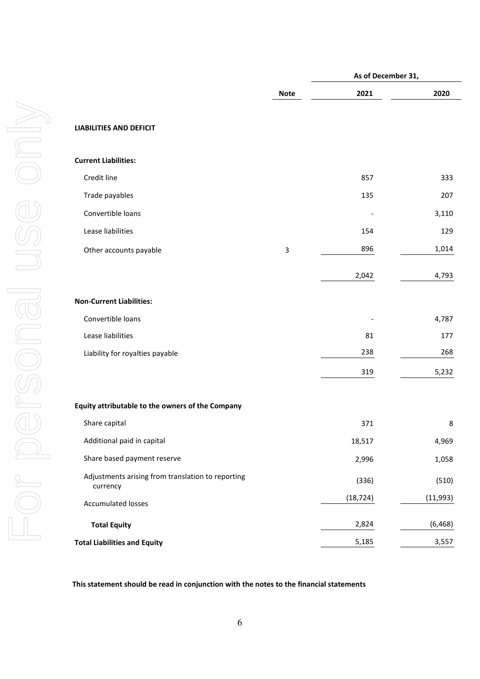|                                                               |              | As of December 31, |           |
|---------------------------------------------------------------|--------------|--------------------|-----------|
|                                                               | <b>Note</b>  | 2021               | 2020      |
| <b>LIABILITIES AND DEFICIT</b>                                |              |                    |           |
| <b>Current Liabilities:</b>                                   |              |                    |           |
| Credit line                                                   |              | 857                | 333       |
| Trade payables                                                |              | 135                | 207       |
| Convertible loans                                             |              |                    | 3,110     |
| Lease liabilities                                             |              | 154                | 129       |
| Other accounts payable                                        | $\mathsf{3}$ | 896                | 1,014     |
|                                                               |              | 2,042              | 4,793     |
| <b>Non-Current Liabilities:</b>                               |              |                    |           |
| Convertible loans                                             |              |                    | 4,787     |
| Lease liabilities                                             |              | 81                 | 177       |
| Liability for royalties payable                               |              | 238                | 268       |
|                                                               |              | 319                | 5,232     |
| Equity attributable to the owners of the Company              |              |                    |           |
| Share capital                                                 |              | 371                | 8         |
| Additional paid in capital                                    |              | 18,517             | 4,969     |
| Share based payment reserve                                   |              | 2,996              | 1,058     |
| Adjustments arising from translation to reporting<br>currency |              | (336)              | (510)     |
| <b>Accumulated losses</b>                                     |              | (18, 724)          | (11, 993) |
| <b>Total Equity</b>                                           |              | 2,824              | (6, 468)  |
| <b>Total Liabilities and Equity</b>                           |              | 5,185              | 3,557     |

**This statement should be read in conjunction with the notes to the financial statements**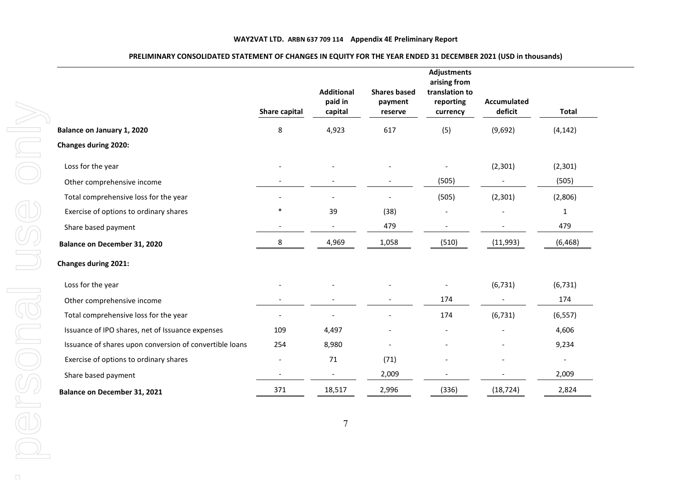|                                                         | Share capital            | <b>Additional</b><br>paid in<br>capital | <b>Shares based</b><br>payment<br>reserve | <b>Adjustments</b><br>arising from<br>translation to<br>reporting<br>currency | <b>Accumulated</b><br>deficit | <b>Total</b>             |
|---------------------------------------------------------|--------------------------|-----------------------------------------|-------------------------------------------|-------------------------------------------------------------------------------|-------------------------------|--------------------------|
| Balance on January 1, 2020                              | 8                        | 4,923                                   | 617                                       | (5)                                                                           | (9,692)                       | (4, 142)                 |
| <b>Changes during 2020:</b>                             |                          |                                         |                                           |                                                                               |                               |                          |
| Loss for the year                                       |                          |                                         |                                           |                                                                               | (2, 301)                      | (2, 301)                 |
| Other comprehensive income                              |                          |                                         |                                           | (505)                                                                         |                               | (505)                    |
| Total comprehensive loss for the year                   |                          |                                         |                                           | (505)                                                                         | (2, 301)                      | (2,806)                  |
| Exercise of options to ordinary shares                  | $\ast$                   | 39                                      | (38)                                      |                                                                               |                               | $\mathbf{1}$             |
| Share based payment                                     | $\overline{a}$           | $\overline{\phantom{a}}$                | 479                                       | $\overline{\phantom{0}}$                                                      |                               | 479                      |
| Balance on December 31, 2020                            | 8                        | 4,969                                   | 1,058                                     | (510)                                                                         | (11,993)                      | (6, 468)                 |
| <b>Changes during 2021:</b>                             |                          |                                         |                                           |                                                                               |                               |                          |
| Loss for the year                                       |                          |                                         |                                           |                                                                               | (6, 731)                      | (6, 731)                 |
| Other comprehensive income                              |                          |                                         |                                           | 174                                                                           |                               | 174                      |
| Total comprehensive loss for the year                   | ٠                        |                                         |                                           | 174                                                                           | (6, 731)                      | (6, 557)                 |
| Issuance of IPO shares, net of Issuance expenses        | 109                      | 4,497                                   |                                           | $\overline{\phantom{0}}$                                                      |                               | 4,606                    |
| Issuance of shares upon conversion of convertible loans | 254                      | 8,980                                   |                                           |                                                                               |                               | 9,234                    |
| Exercise of options to ordinary shares                  | $\overline{\phantom{a}}$ | 71                                      | (71)                                      |                                                                               |                               | $\overline{\phantom{a}}$ |
| Share based payment                                     |                          |                                         | 2,009                                     |                                                                               |                               | 2,009                    |
| Balance on December 31, 2021                            | 371                      | 18,517                                  | 2,996                                     | (336)                                                                         | (18, 724)                     | 2,824                    |

### **PRELIMINARY CONSOLIDATED STATEMENT OF CHANGES IN EQUITY FOR THE YEAR ENDED 31 DECEMBER 2021 (USD in thousands)**

 $\cap$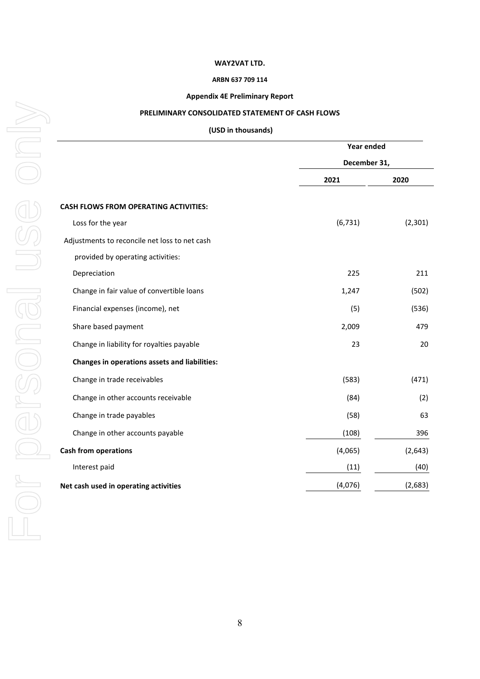#### **ARBN 637 709 114**

## **Appendix 4E Preliminary Report**

## **PRELIMINARY CONSOLIDATED STATEMENT OF CASH FLOWS**

### **(USD in thousands)**

|                                                      | Year ended<br>December 31, |          |
|------------------------------------------------------|----------------------------|----------|
|                                                      |                            |          |
|                                                      | 2021                       | 2020     |
| <b>CASH FLOWS FROM OPERATING ACTIVITIES:</b>         |                            |          |
| Loss for the year                                    | (6, 731)                   | (2, 301) |
| Adjustments to reconcile net loss to net cash        |                            |          |
| provided by operating activities:                    |                            |          |
| Depreciation                                         | 225                        | 211      |
| Change in fair value of convertible loans            | 1,247                      | (502)    |
| Financial expenses (income), net                     | (5)                        | (536)    |
| Share based payment                                  | 2,009                      | 479      |
| Change in liability for royalties payable            | 23                         | 20       |
| <b>Changes in operations assets and liabilities:</b> |                            |          |
| Change in trade receivables                          | (583)                      | (471)    |
| Change in other accounts receivable                  | (84)                       | (2)      |
| Change in trade payables                             | (58)                       | 63       |
| Change in other accounts payable                     | (108)                      | 396      |
| <b>Cash from operations</b>                          | (4,065)                    | (2, 643) |
| Interest paid                                        | (11)                       | (40)     |
| Net cash used in operating activities                | (4,076)                    | (2,683)  |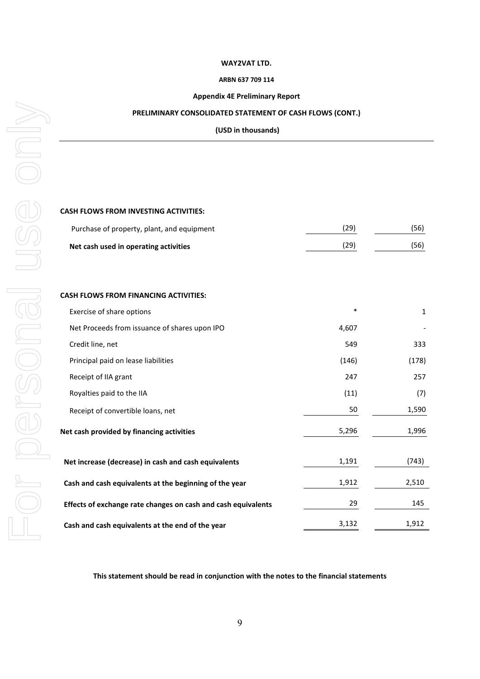#### **ARBN 637 709 114**

## **Appendix 4E Preliminary Report**

### **PRELIMINARY CONSOLIDATED STATEMENT OF CASH FLOWS (CONT.)**

**(USD in thousands)**

## **CASH FLOWS FROM INVESTING ACTIVITIES:**

| Purchase of property, plant, and equipment | (29) | (56) |
|--------------------------------------------|------|------|
| Net cash used in operating activities      | (29) | (56) |

### **CASH FLOWS FROM FINANCING ACTIVITIES:**

| Exercise of share options                                     | $\ast$ | 1     |
|---------------------------------------------------------------|--------|-------|
| Net Proceeds from issuance of shares upon IPO                 | 4,607  |       |
| Credit line, net                                              | 549    | 333   |
| Principal paid on lease liabilities                           | (146)  | (178) |
| Receipt of IIA grant                                          | 247    | 257   |
| Royalties paid to the IIA                                     | (11)   | (7)   |
| Receipt of convertible loans, net                             | 50     | 1,590 |
| Net cash provided by financing activities                     | 5,296  | 1,996 |
| Net increase (decrease) in cash and cash equivalents          | 1,191  | (743) |
| Cash and cash equivalents at the beginning of the year        | 1,912  | 2,510 |
| Effects of exchange rate changes on cash and cash equivalents | 29     | 145   |
| Cash and cash equivalents at the end of the year              | 3,132  | 1,912 |

**This statement should be read in conjunction with the notes to the financial statements**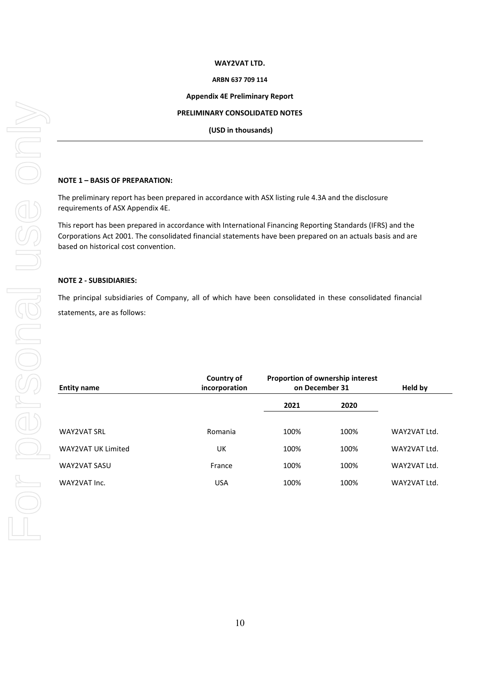#### **ARBN 637 709 114**

#### **Appendix 4E Preliminary Report**

#### **PRELIMINARY CONSOLIDATED NOTES**

**(USD in thousands)**

### **NOTE 1 – BASIS OF PREPARATION:**

The preliminary report has been prepared in accordance with ASX listing rule 4.3A and the disclosure requirements of ASX Appendix 4E.

This report has been prepared in accordance with International Financing Reporting Standards (IFRS) and the Corporations Act 2001. The consolidated financial statements have been prepared on an actuals basis and are based on historical cost convention.

#### **NOTE 2 - SUBSIDIARIES:**

The principal subsidiaries of Company, all of which have been consolidated in these consolidated financial statements, are as follows:

| <b>Entity name</b> | Country of<br>incorporation |      | Proportion of ownership interest<br>on December 31 | Held by      |
|--------------------|-----------------------------|------|----------------------------------------------------|--------------|
|                    |                             | 2021 | 2020                                               |              |
| <b>WAY2VAT SRL</b> | Romania                     | 100% | 100%                                               | WAY2VAT Ltd. |
| WAY2VAT UK Limited | UK                          | 100% | 100%                                               | WAY2VAT Ltd. |
| WAY2VAT SASU       | France                      | 100% | 100%                                               | WAY2VAT Ltd. |
| WAY2VAT Inc.       | <b>USA</b>                  | 100% | 100%                                               | WAY2VAT Ltd. |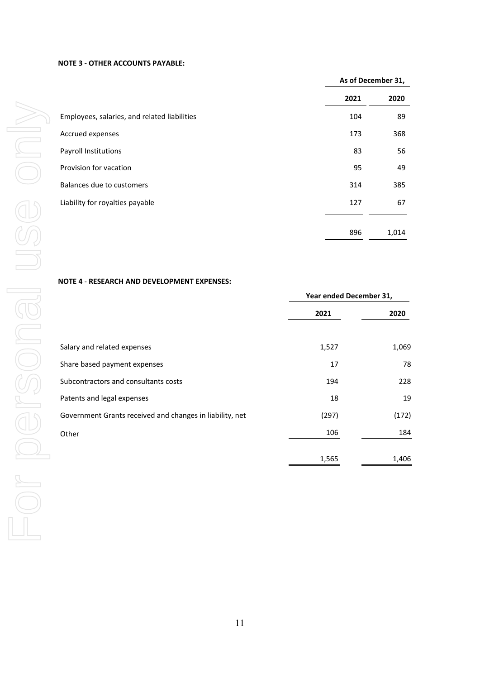#### **NOTE 3 - OTHER ACCOUNTS PAYABLE:**

|                                              |      | As of December 31, |  |
|----------------------------------------------|------|--------------------|--|
|                                              | 2021 | 2020               |  |
| Employees, salaries, and related liabilities | 104  | 89                 |  |
| Accrued expenses                             | 173  | 368                |  |
| Payroll Institutions                         | 83   | 56                 |  |
| Provision for vacation                       | 95   | 49                 |  |
| Balances due to customers                    | 314  | 385                |  |
| Liability for royalties payable              | 127  | 67                 |  |
|                                              |      |                    |  |
|                                              | 896  | 1,014              |  |

## **NOTE 4** - **RESEARCH AND DEVELOPMENT EXPENSES:**

|                                                          | Year ended December 31, |       |
|----------------------------------------------------------|-------------------------|-------|
|                                                          | 2021                    | 2020  |
| Salary and related expenses                              | 1,527                   | 1,069 |
| Share based payment expenses                             | 17                      | 78    |
| Subcontractors and consultants costs                     | 194                     | 228   |
| Patents and legal expenses                               | 18                      | 19    |
| Government Grants received and changes in liability, net | (297)                   | (172) |
| Other                                                    | 106                     | 184   |
|                                                          | 1,565                   | 1,406 |